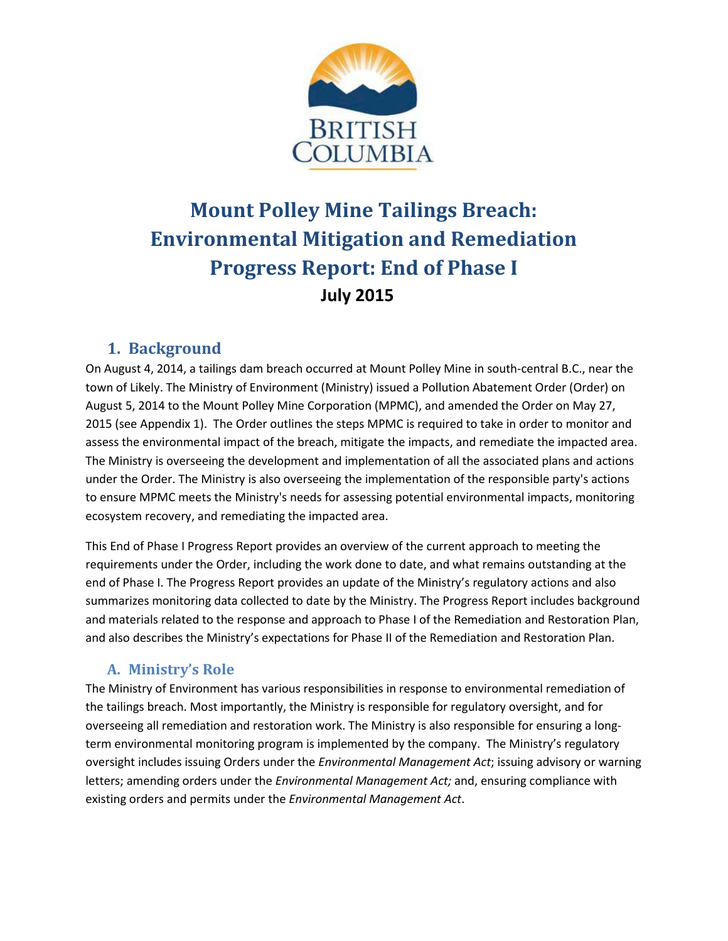

# **Mount Polley Mine Tailings Breach: Environmental Mitigation and Remediation Progress Report: End of Phase I July 2015**

# **1. Background**

On August 4, 2014, a tailings dam breach occurred at Mount Polley Mine in south-central B.C., near the town of Likely. The Ministry of Environment (Ministry) issued a Pollution Abatement Order (Order) on August 5, 2014 to the Mount Polley Mine Corporation (MPMC), and amended the Order on May 27, 2015 (see Appendix 1). The Order outlines the steps MPMC is required to take in order to monitor and assess the environmental impact of the breach, mitigate the impacts, and remediate the impacted area. The Ministry is overseeing the development and implementation of all the associated plans and actions under the Order. The Ministry is also overseeing the implementation of the responsible party's actions to ensure MPMC meets the Ministry's needs for assessing potential environmental impacts, monitoring ecosystem recovery, and remediating the impacted area.

This End of Phase I Progress Report provides an overview of the current approach to meeting the requirements under the Order, including the work done to date, and what remains outstanding at the end of Phase I. The Progress Report provides an update of the Ministry's regulatory actions and also summarizes monitoring data collected to date by the Ministry. The Progress Report includes background and materials related to the response and approach to Phase I of the Remediation and Restoration Plan, and also describes the Ministry's expectations for Phase II of the Remediation and Restoration Plan.

# **A. Ministry's Role**

The Ministry of Environment has various responsibilities in response to environmental remediation of the tailings breach. Most importantly, the Ministry is responsible for regulatory oversight, and for overseeing all remediation and restoration work. The Ministry is also responsible for ensuring a longterm environmental monitoring program is implemented by the company. The Ministry's regulatory oversight includes issuing Orders under the *Environmental Management Act*; issuing advisory or warning letters; amending orders under the *Environmental Management Act;* and, ensuring compliance with existing orders and permits under the *Environmental Management Act*.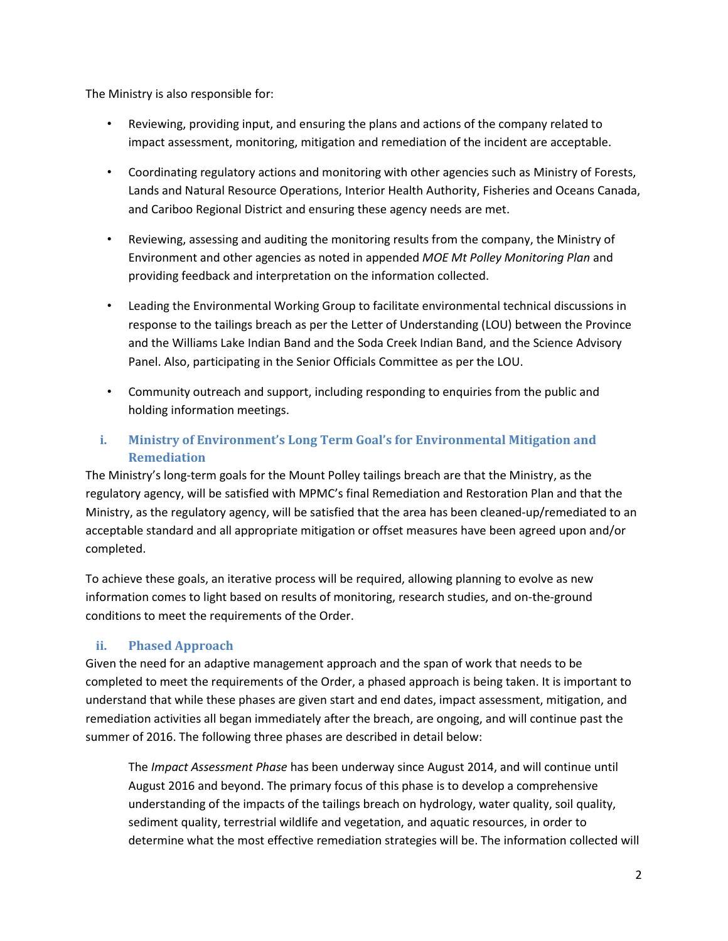The Ministry is also responsible for:

- Reviewing, providing input, and ensuring the plans and actions of the company related to impact assessment, monitoring, mitigation and remediation of the incident are acceptable.
- Coordinating regulatory actions and monitoring with other agencies such as Ministry of Forests, Lands and Natural Resource Operations, Interior Health Authority, Fisheries and Oceans Canada, and Cariboo Regional District and ensuring these agency needs are met.
- Reviewing, assessing and auditing the monitoring results from the company, the Ministry of Environment and other agencies as noted in appended *MOE Mt Polley Monitoring Plan* and providing feedback and interpretation on the information collected.
- Leading the Environmental Working Group to facilitate environmental technical discussions in response to the tailings breach as per the Letter of Understanding (LOU) between the Province and the Williams Lake Indian Band and the Soda Creek Indian Band, and the Science Advisory Panel. Also, participating in the Senior Officials Committee as per the LOU.
- Community outreach and support, including responding to enquiries from the public and holding information meetings.

# **i. Ministry of Environment's Long Term Goal's for Environmental Mitigation and Remediation**

The Ministry's long-term goals for the Mount Polley tailings breach are that the Ministry, as the regulatory agency, will be satisfied with MPMC's final Remediation and Restoration Plan and that the Ministry, as the regulatory agency, will be satisfied that the area has been cleaned-up/remediated to an acceptable standard and all appropriate mitigation or offset measures have been agreed upon and/or completed.

To achieve these goals, an iterative process will be required, allowing planning to evolve as new information comes to light based on results of monitoring, research studies, and on-the-ground conditions to meet the requirements of the Order.

## **ii. Phased Approach**

Given the need for an adaptive management approach and the span of work that needs to be completed to meet the requirements of the Order, a phased approach is being taken. It is important to understand that while these phases are given start and end dates, impact assessment, mitigation, and remediation activities all began immediately after the breach, are ongoing, and will continue past the summer of 2016. The following three phases are described in detail below:

The *Impact Assessment Phase* has been underway since August 2014, and will continue until August 2016 and beyond. The primary focus of this phase is to develop a comprehensive understanding of the impacts of the tailings breach on hydrology, water quality, soil quality, sediment quality, terrestrial wildlife and vegetation, and aquatic resources, in order to determine what the most effective remediation strategies will be. The information collected will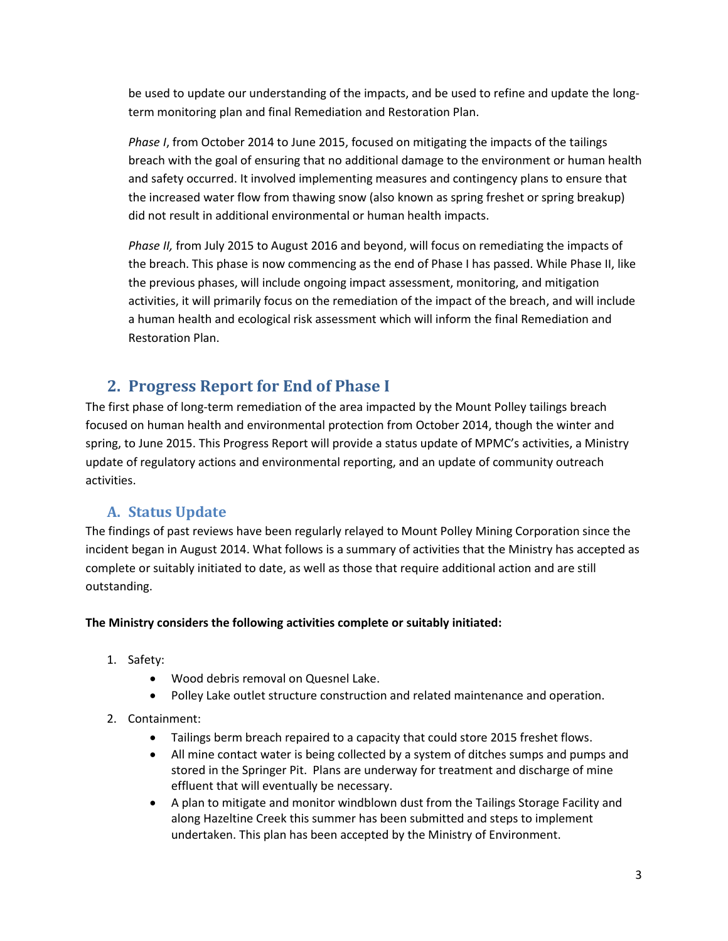be used to update our understanding of the impacts, and be used to refine and update the longterm monitoring plan and final Remediation and Restoration Plan.

*Phase I*, from October 2014 to June 2015, focused on mitigating the impacts of the tailings breach with the goal of ensuring that no additional damage to the environment or human health and safety occurred. It involved implementing measures and contingency plans to ensure that the increased water flow from thawing snow (also known as spring freshet or spring breakup) did not result in additional environmental or human health impacts.

*Phase II,* from July 2015 to August 2016 and beyond, will focus on remediating the impacts of the breach. This phase is now commencing as the end of Phase I has passed. While Phase II, like the previous phases, will include ongoing impact assessment, monitoring, and mitigation activities, it will primarily focus on the remediation of the impact of the breach, and will include a human health and ecological risk assessment which will inform the final Remediation and Restoration Plan.

# **2. Progress Report for End of Phase I**

The first phase of long-term remediation of the area impacted by the Mount Polley tailings breach focused on human health and environmental protection from October 2014, though the winter and spring, to June 2015. This Progress Report will provide a status update of MPMC's activities, a Ministry update of regulatory actions and environmental reporting, and an update of community outreach activities.

# **A. Status Update**

The findings of past reviews have been regularly relayed to Mount Polley Mining Corporation since the incident began in August 2014. What follows is a summary of activities that the Ministry has accepted as complete or suitably initiated to date, as well as those that require additional action and are still outstanding.

## **The Ministry considers the following activities complete or suitably initiated:**

- 1. Safety:
	- Wood debris removal on Quesnel Lake.
	- Polley Lake outlet structure construction and related maintenance and operation.
- 2. Containment:
	- Tailings berm breach repaired to a capacity that could store 2015 freshet flows.
	- All mine contact water is being collected by a system of ditches sumps and pumps and stored in the Springer Pit. Plans are underway for treatment and discharge of mine effluent that will eventually be necessary.
	- A plan to mitigate and monitor windblown dust from the Tailings Storage Facility and along Hazeltine Creek this summer has been submitted and steps to implement undertaken. This plan has been accepted by the Ministry of Environment.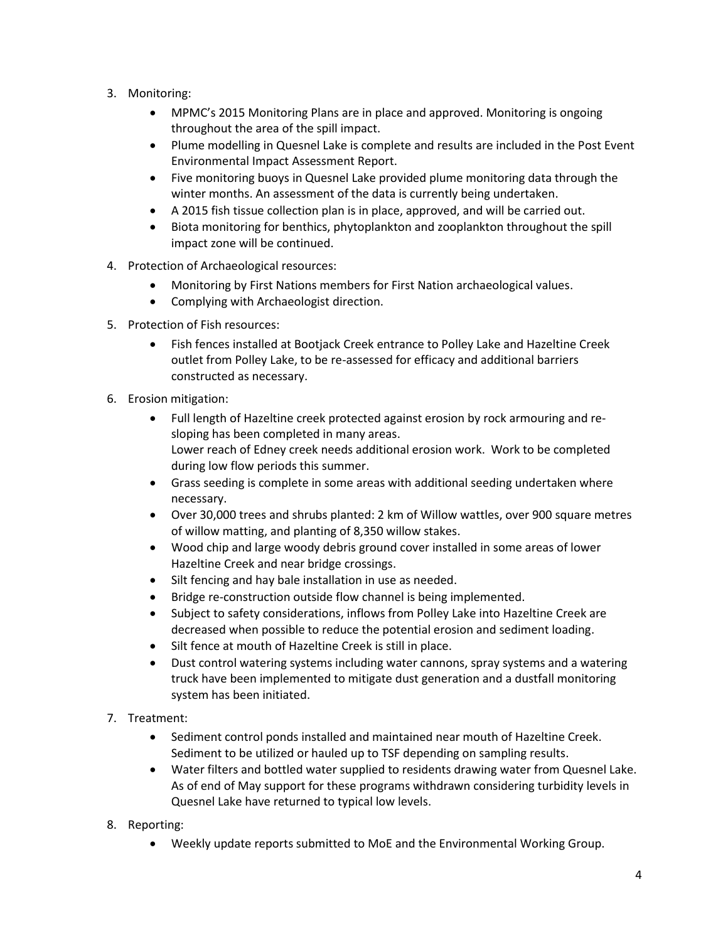- 3. Monitoring:
	- MPMC's 2015 Monitoring Plans are in place and approved. Monitoring is ongoing throughout the area of the spill impact.
	- Plume modelling in Quesnel Lake is complete and results are included in the Post Event Environmental Impact Assessment Report.
	- Five monitoring buoys in Quesnel Lake provided plume monitoring data through the winter months. An assessment of the data is currently being undertaken.
	- A 2015 fish tissue collection plan is in place, approved, and will be carried out.
	- Biota monitoring for benthics, phytoplankton and zooplankton throughout the spill impact zone will be continued.
- 4. Protection of Archaeological resources:
	- Monitoring by First Nations members for First Nation archaeological values.
	- Complying with Archaeologist direction.
- 5. Protection of Fish resources:
	- Fish fences installed at Bootjack Creek entrance to Polley Lake and Hazeltine Creek outlet from Polley Lake, to be re-assessed for efficacy and additional barriers constructed as necessary.
- 6. Erosion mitigation:
	- Full length of Hazeltine creek protected against erosion by rock armouring and resloping has been completed in many areas. Lower reach of Edney creek needs additional erosion work. Work to be completed during low flow periods this summer.
	- Grass seeding is complete in some areas with additional seeding undertaken where necessary.
	- Over 30,000 trees and shrubs planted: 2 km of Willow wattles, over 900 square metres of willow matting, and planting of 8,350 willow stakes.
	- Wood chip and large woody debris ground cover installed in some areas of lower Hazeltine Creek and near bridge crossings.
	- Silt fencing and hay bale installation in use as needed.
	- Bridge re-construction outside flow channel is being implemented.
	- Subject to safety considerations, inflows from Polley Lake into Hazeltine Creek are decreased when possible to reduce the potential erosion and sediment loading.
	- Silt fence at mouth of Hazeltine Creek is still in place.
	- Dust control watering systems including water cannons, spray systems and a watering truck have been implemented to mitigate dust generation and a dustfall monitoring system has been initiated.
- 7. Treatment:
	- Sediment control ponds installed and maintained near mouth of Hazeltine Creek. Sediment to be utilized or hauled up to TSF depending on sampling results.
	- Water filters and bottled water supplied to residents drawing water from Quesnel Lake. As of end of May support for these programs withdrawn considering turbidity levels in Quesnel Lake have returned to typical low levels.
- 8. Reporting:
	- Weekly update reports submitted to MoE and the Environmental Working Group.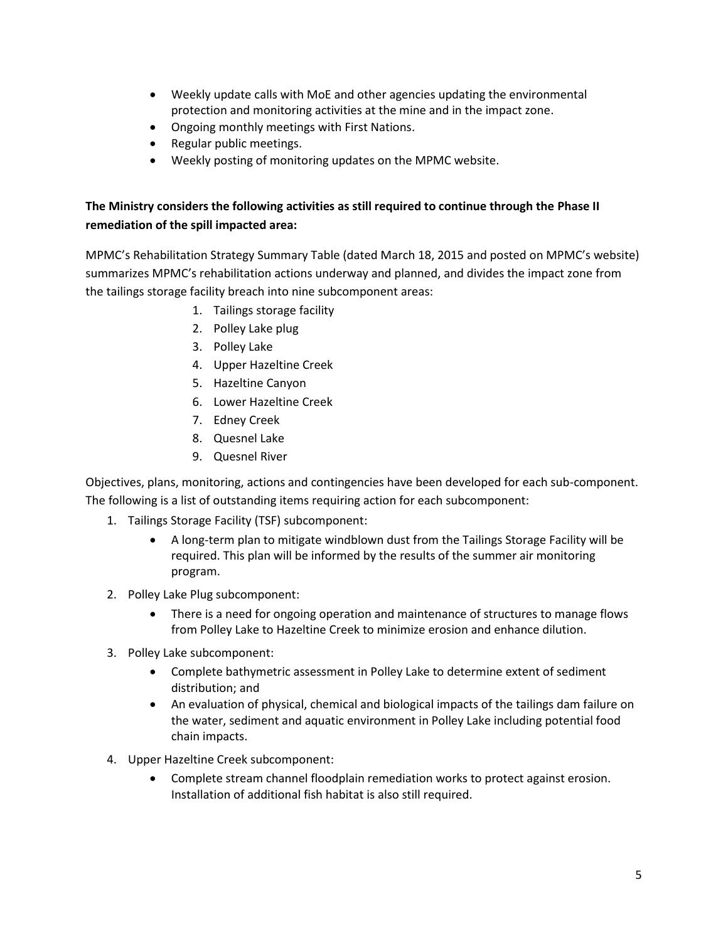- Weekly update calls with MoE and other agencies updating the environmental protection and monitoring activities at the mine and in the impact zone.
- Ongoing monthly meetings with First Nations.
- Regular public meetings.
- Weekly posting of monitoring updates on the MPMC website.

## **The Ministry considers the following activities as still required to continue through the Phase II remediation of the spill impacted area:**

MPMC's Rehabilitation Strategy Summary Table (dated March 18, 2015 and posted on MPMC's website) summarizes MPMC's rehabilitation actions underway and planned, and divides the impact zone from the tailings storage facility breach into nine subcomponent areas:

- 1. Tailings storage facility
- 2. Polley Lake plug
- 3. Polley Lake
- 4. Upper Hazeltine Creek
- 5. Hazeltine Canyon
- 6. Lower Hazeltine Creek
- 7. Edney Creek
- 8. Quesnel Lake
- 9. Quesnel River

Objectives, plans, monitoring, actions and contingencies have been developed for each sub-component. The following is a list of outstanding items requiring action for each subcomponent:

- 1. Tailings Storage Facility (TSF) subcomponent:
	- A long-term plan to mitigate windblown dust from the Tailings Storage Facility will be required. This plan will be informed by the results of the summer air monitoring program.
- 2. Polley Lake Plug subcomponent:
	- There is a need for ongoing operation and maintenance of structures to manage flows from Polley Lake to Hazeltine Creek to minimize erosion and enhance dilution.
- 3. Polley Lake subcomponent:
	- Complete bathymetric assessment in Polley Lake to determine extent of sediment distribution; and
	- An evaluation of physical, chemical and biological impacts of the tailings dam failure on the water, sediment and aquatic environment in Polley Lake including potential food chain impacts.
- 4. Upper Hazeltine Creek subcomponent:
	- Complete stream channel floodplain remediation works to protect against erosion. Installation of additional fish habitat is also still required.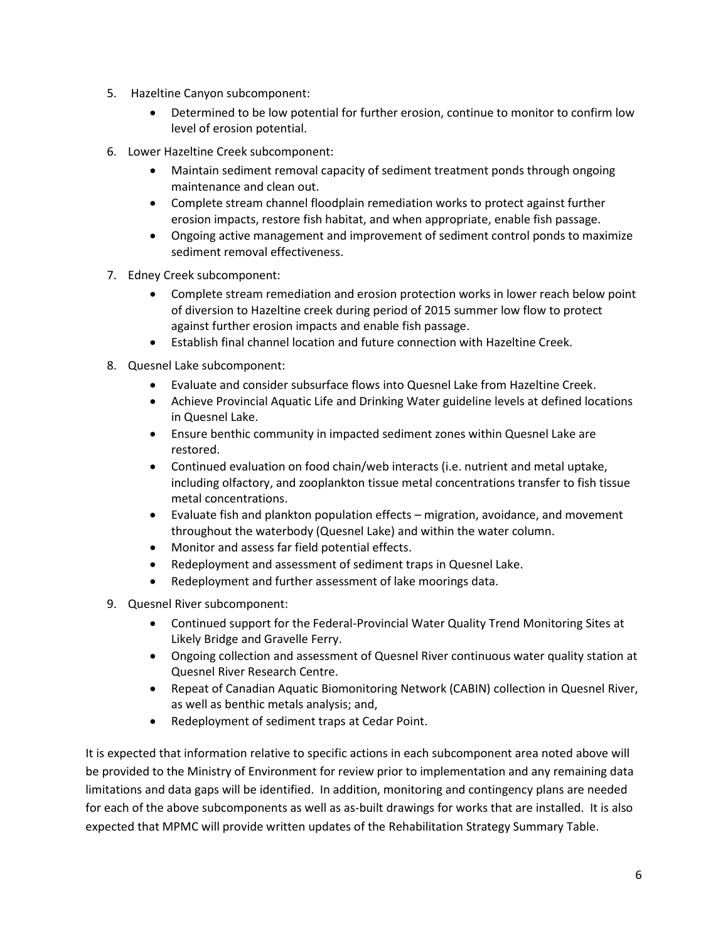- 5. Hazeltine Canyon subcomponent:
	- Determined to be low potential for further erosion, continue to monitor to confirm low level of erosion potential.
- 6. Lower Hazeltine Creek subcomponent:
	- Maintain sediment removal capacity of sediment treatment ponds through ongoing maintenance and clean out.
	- Complete stream channel floodplain remediation works to protect against further erosion impacts, restore fish habitat, and when appropriate, enable fish passage.
	- Ongoing active management and improvement of sediment control ponds to maximize sediment removal effectiveness.
- 7. Edney Creek subcomponent:
	- Complete stream remediation and erosion protection works in lower reach below point of diversion to Hazeltine creek during period of 2015 summer low flow to protect against further erosion impacts and enable fish passage.
	- Establish final channel location and future connection with Hazeltine Creek.
- 8. Quesnel Lake subcomponent:
	- Evaluate and consider subsurface flows into Quesnel Lake from Hazeltine Creek.
	- Achieve Provincial Aquatic Life and Drinking Water guideline levels at defined locations in Quesnel Lake.
	- Ensure benthic community in impacted sediment zones within Quesnel Lake are restored.
	- Continued evaluation on food chain/web interacts (i.e. nutrient and metal uptake, including olfactory, and zooplankton tissue metal concentrations transfer to fish tissue metal concentrations.
	- Evaluate fish and plankton population effects migration, avoidance, and movement throughout the waterbody (Quesnel Lake) and within the water column.
	- Monitor and assess far field potential effects.
	- Redeployment and assessment of sediment traps in Quesnel Lake.
	- Redeployment and further assessment of lake moorings data.
- 9. Quesnel River subcomponent:
	- Continued support for the Federal-Provincial Water Quality Trend Monitoring Sites at Likely Bridge and Gravelle Ferry.
	- Ongoing collection and assessment of Quesnel River continuous water quality station at Quesnel River Research Centre.
	- Repeat of Canadian Aquatic Biomonitoring Network (CABIN) collection in Quesnel River, as well as benthic metals analysis; and,
	- Redeployment of sediment traps at Cedar Point.

It is expected that information relative to specific actions in each subcomponent area noted above will be provided to the Ministry of Environment for review prior to implementation and any remaining data limitations and data gaps will be identified. In addition, monitoring and contingency plans are needed for each of the above subcomponents as well as as-built drawings for works that are installed. It is also expected that MPMC will provide written updates of the Rehabilitation Strategy Summary Table.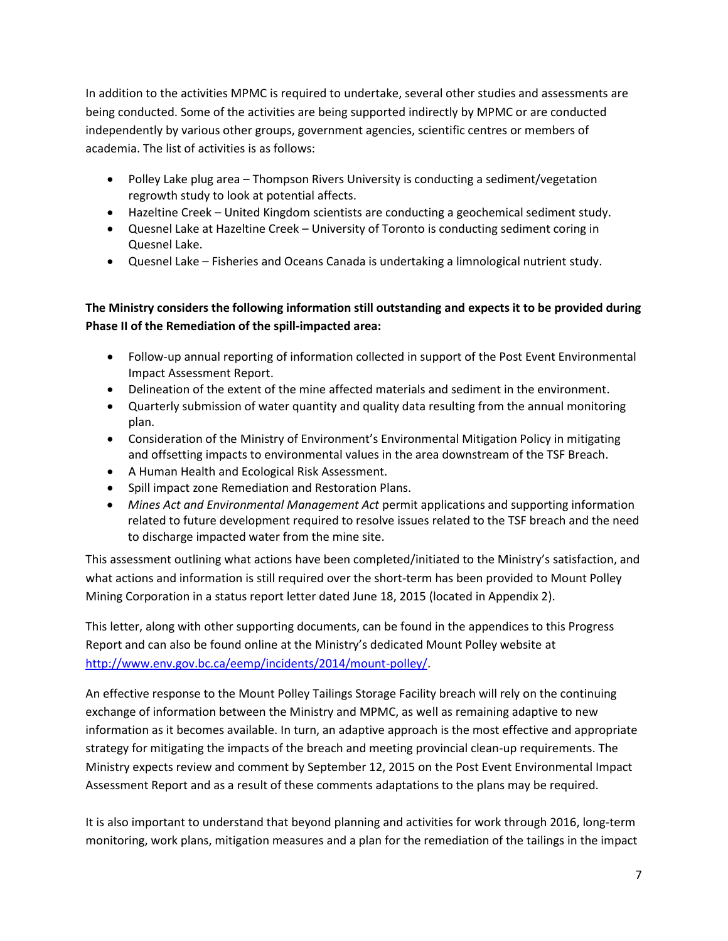In addition to the activities MPMC is required to undertake, several other studies and assessments are being conducted. Some of the activities are being supported indirectly by MPMC or are conducted independently by various other groups, government agencies, scientific centres or members of academia. The list of activities is as follows:

- Polley Lake plug area Thompson Rivers University is conducting a sediment/vegetation regrowth study to look at potential affects.
- Hazeltine Creek United Kingdom scientists are conducting a geochemical sediment study.
- Quesnel Lake at Hazeltine Creek University of Toronto is conducting sediment coring in Quesnel Lake.
- Quesnel Lake Fisheries and Oceans Canada is undertaking a limnological nutrient study.

## **The Ministry considers the following information still outstanding and expects it to be provided during Phase II of the Remediation of the spill-impacted area:**

- Follow-up annual reporting of information collected in support of the Post Event Environmental Impact Assessment Report.
- Delineation of the extent of the mine affected materials and sediment in the environment.
- Quarterly submission of water quantity and quality data resulting from the annual monitoring plan.
- Consideration of the Ministry of Environment's Environmental Mitigation Policy in mitigating and offsetting impacts to environmental values in the area downstream of the TSF Breach.
- A Human Health and Ecological Risk Assessment.
- Spill impact zone Remediation and Restoration Plans.
- *Mines Act and Environmental Management Act* permit applications and supporting information related to future development required to resolve issues related to the TSF breach and the need to discharge impacted water from the mine site.

This assessment outlining what actions have been completed/initiated to the Ministry's satisfaction, and what actions and information is still required over the short-term has been provided to Mount Polley Mining Corporation in a status report letter dated June 18, 2015 (located in Appendix 2).

This letter, along with other supporting documents, can be found in the appendices to this Progress Report and can also be found online at the Ministry's dedicated Mount Polley website at [http://www.env.gov.bc.ca/eemp/incidents/2014/mount-polley/.](http://www.env.gov.bc.ca/eemp/incidents/2014/mount-polley/)

An effective response to the Mount Polley Tailings Storage Facility breach will rely on the continuing exchange of information between the Ministry and MPMC, as well as remaining adaptive to new information as it becomes available. In turn, an adaptive approach is the most effective and appropriate strategy for mitigating the impacts of the breach and meeting provincial clean-up requirements. The Ministry expects review and comment by September 12, 2015 on the Post Event Environmental Impact Assessment Report and as a result of these comments adaptations to the plans may be required.

It is also important to understand that beyond planning and activities for work through 2016, long-term monitoring, work plans, mitigation measures and a plan for the remediation of the tailings in the impact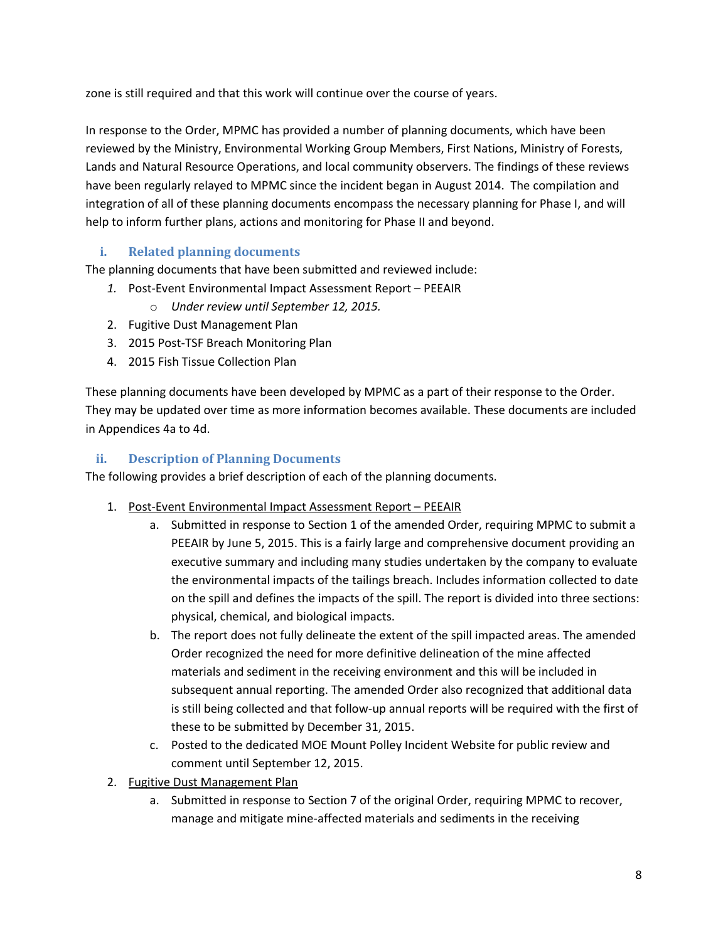zone is still required and that this work will continue over the course of years.

In response to the Order, MPMC has provided a number of planning documents, which have been reviewed by the Ministry, Environmental Working Group Members, First Nations, Ministry of Forests, Lands and Natural Resource Operations, and local community observers. The findings of these reviews have been regularly relayed to MPMC since the incident began in August 2014. The compilation and integration of all of these planning documents encompass the necessary planning for Phase I, and will help to inform further plans, actions and monitoring for Phase II and beyond.

## **i. Related planning documents**

The planning documents that have been submitted and reviewed include:

- *1.* Post-Event Environmental Impact Assessment Report PEEAIR
	- o *Under review until September 12, 2015.*
- 2. Fugitive Dust Management Plan
- 3. 2015 Post-TSF Breach Monitoring Plan
- 4. 2015 Fish Tissue Collection Plan

These planning documents have been developed by MPMC as a part of their response to the Order. They may be updated over time as more information becomes available. These documents are included in Appendices 4a to 4d.

### **ii. Description of Planning Documents**

The following provides a brief description of each of the planning documents.

- 1. Post-Event Environmental Impact Assessment Report PEEAIR
	- a. Submitted in response to Section 1 of the amended Order, requiring MPMC to submit a PEEAIR by June 5, 2015. This is a fairly large and comprehensive document providing an executive summary and including many studies undertaken by the company to evaluate the environmental impacts of the tailings breach. Includes information collected to date on the spill and defines the impacts of the spill. The report is divided into three sections: physical, chemical, and biological impacts.
	- b. The report does not fully delineate the extent of the spill impacted areas. The amended Order recognized the need for more definitive delineation of the mine affected materials and sediment in the receiving environment and this will be included in subsequent annual reporting. The amended Order also recognized that additional data is still being collected and that follow-up annual reports will be required with the first of these to be submitted by December 31, 2015.
	- c. Posted to the dedicated MOE Mount Polley Incident Website for public review and comment until September 12, 2015.
- 2. Fugitive Dust Management Plan
	- a. Submitted in response to Section 7 of the original Order, requiring MPMC to recover, manage and mitigate mine-affected materials and sediments in the receiving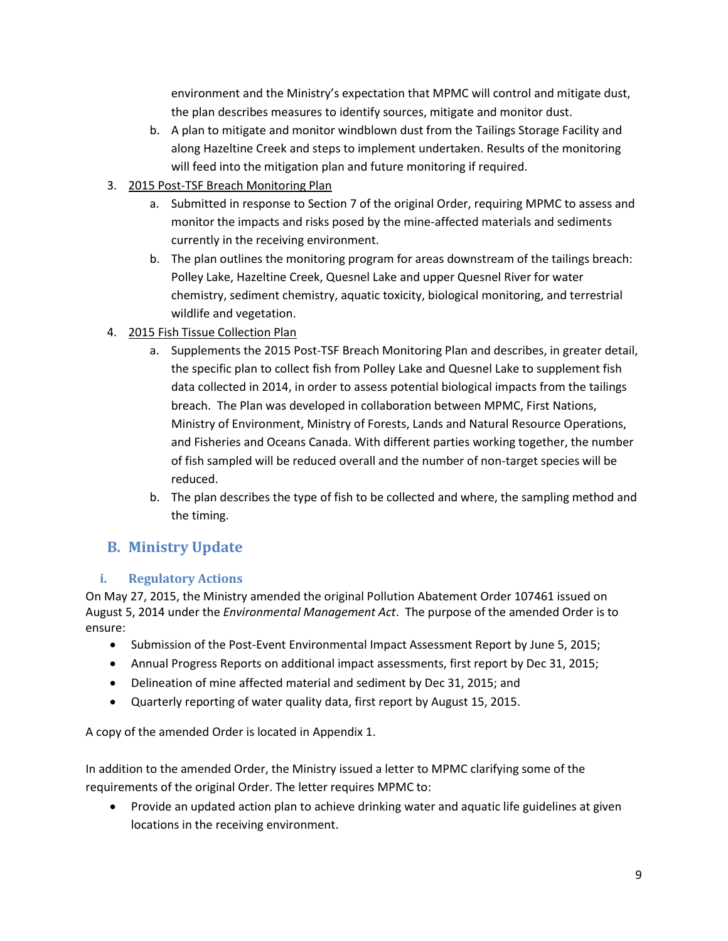environment and the Ministry's expectation that MPMC will control and mitigate dust, the plan describes measures to identify sources, mitigate and monitor dust.

- b. A plan to mitigate and monitor windblown dust from the Tailings Storage Facility and along Hazeltine Creek and steps to implement undertaken. Results of the monitoring will feed into the mitigation plan and future monitoring if required.
- 3. 2015 Post-TSF Breach Monitoring Plan
	- a. Submitted in response to Section 7 of the original Order, requiring MPMC to assess and monitor the impacts and risks posed by the mine-affected materials and sediments currently in the receiving environment.
	- b. The plan outlines the monitoring program for areas downstream of the tailings breach: Polley Lake, Hazeltine Creek, Quesnel Lake and upper Quesnel River for water chemistry, sediment chemistry, aquatic toxicity, biological monitoring, and terrestrial wildlife and vegetation.
- 4. 2015 Fish Tissue Collection Plan
	- a. Supplements the 2015 Post-TSF Breach Monitoring Plan and describes, in greater detail, the specific plan to collect fish from Polley Lake and Quesnel Lake to supplement fish data collected in 2014, in order to assess potential biological impacts from the tailings breach. The Plan was developed in collaboration between MPMC, First Nations, Ministry of Environment, Ministry of Forests, Lands and Natural Resource Operations, and Fisheries and Oceans Canada. With different parties working together, the number of fish sampled will be reduced overall and the number of non-target species will be reduced.
	- b. The plan describes the type of fish to be collected and where, the sampling method and the timing.

# **B. Ministry Update**

# **i. Regulatory Actions**

On May 27, 2015, the Ministry amended the original Pollution Abatement Order 107461 issued on August 5, 2014 under the *Environmental Management Act*. The purpose of the amended Order is to ensure:

- Submission of the Post-Event Environmental Impact Assessment Report by June 5, 2015;
- Annual Progress Reports on additional impact assessments, first report by Dec 31, 2015;
- Delineation of mine affected material and sediment by Dec 31, 2015; and
- Quarterly reporting of water quality data, first report by August 15, 2015.

A copy of the amended Order is located in Appendix 1.

In addition to the amended Order, the Ministry issued a letter to MPMC clarifying some of the requirements of the original Order. The letter requires MPMC to:

 Provide an updated action plan to achieve drinking water and aquatic life guidelines at given locations in the receiving environment.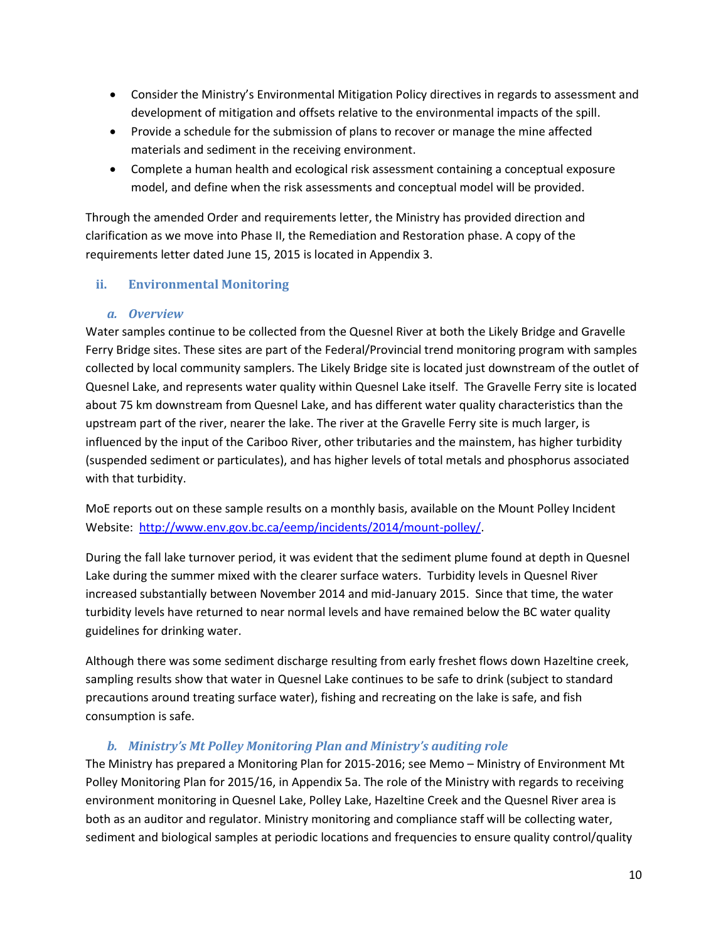- Consider the Ministry's Environmental Mitigation Policy directives in regards to assessment and development of mitigation and offsets relative to the environmental impacts of the spill.
- Provide a schedule for the submission of plans to recover or manage the mine affected materials and sediment in the receiving environment.
- Complete a human health and ecological risk assessment containing a conceptual exposure model, and define when the risk assessments and conceptual model will be provided.

Through the amended Order and requirements letter, the Ministry has provided direction and clarification as we move into Phase II, the Remediation and Restoration phase. A copy of the requirements letter dated June 15, 2015 is located in Appendix 3.

### **ii. Environmental Monitoring**

#### *a. Overview*

Water samples continue to be collected from the Quesnel River at both the Likely Bridge and Gravelle Ferry Bridge sites. These sites are part of the Federal/Provincial trend monitoring program with samples collected by local community samplers. The Likely Bridge site is located just downstream of the outlet of Quesnel Lake, and represents water quality within Quesnel Lake itself. The Gravelle Ferry site is located about 75 km downstream from Quesnel Lake, and has different water quality characteristics than the upstream part of the river, nearer the lake. The river at the Gravelle Ferry site is much larger, is influenced by the input of the Cariboo River, other tributaries and the mainstem, has higher turbidity (suspended sediment or particulates), and has higher levels of total metals and phosphorus associated with that turbidity.

MoE reports out on these sample results on a monthly basis, available on the Mount Polley Incident Website: [http://www.env.gov.bc.ca/eemp/incidents/2014/mount-polley/.](http://www.env.gov.bc.ca/eemp/incidents/2014/mount-polley/)

During the fall lake turnover period, it was evident that the sediment plume found at depth in Quesnel Lake during the summer mixed with the clearer surface waters. Turbidity levels in Quesnel River increased substantially between November 2014 and mid-January 2015. Since that time, the water turbidity levels have returned to near normal levels and have remained below the BC water quality guidelines for drinking water.

Although there was some sediment discharge resulting from early freshet flows down Hazeltine creek, sampling results show that water in Quesnel Lake continues to be safe to drink (subject to standard precautions around treating surface water), fishing and recreating on the lake is safe, and fish consumption is safe.

#### *b. Ministry's Mt Polley Monitoring Plan and Ministry's auditing role*

The Ministry has prepared a Monitoring Plan for 2015-2016; see Memo – Ministry of Environment Mt Polley Monitoring Plan for 2015/16, in Appendix 5a. The role of the Ministry with regards to receiving environment monitoring in Quesnel Lake, Polley Lake, Hazeltine Creek and the Quesnel River area is both as an auditor and regulator. Ministry monitoring and compliance staff will be collecting water, sediment and biological samples at periodic locations and frequencies to ensure quality control/quality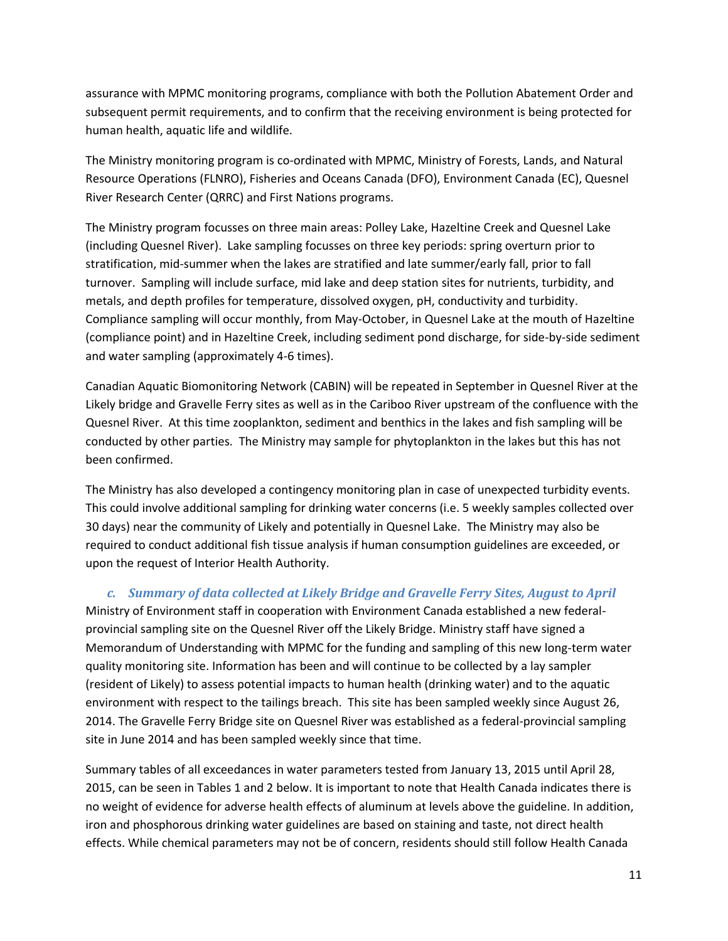assurance with MPMC monitoring programs, compliance with both the Pollution Abatement Order and subsequent permit requirements, and to confirm that the receiving environment is being protected for human health, aquatic life and wildlife.

The Ministry monitoring program is co-ordinated with MPMC, Ministry of Forests, Lands, and Natural Resource Operations (FLNRO), Fisheries and Oceans Canada (DFO), Environment Canada (EC), Quesnel River Research Center (QRRC) and First Nations programs.

The Ministry program focusses on three main areas: Polley Lake, Hazeltine Creek and Quesnel Lake (including Quesnel River). Lake sampling focusses on three key periods: spring overturn prior to stratification, mid-summer when the lakes are stratified and late summer/early fall, prior to fall turnover. Sampling will include surface, mid lake and deep station sites for nutrients, turbidity, and metals, and depth profiles for temperature, dissolved oxygen, pH, conductivity and turbidity. Compliance sampling will occur monthly, from May-October, in Quesnel Lake at the mouth of Hazeltine (compliance point) and in Hazeltine Creek, including sediment pond discharge, for side-by-side sediment and water sampling (approximately 4-6 times).

Canadian Aquatic Biomonitoring Network (CABIN) will be repeated in September in Quesnel River at the Likely bridge and Gravelle Ferry sites as well as in the Cariboo River upstream of the confluence with the Quesnel River. At this time zooplankton, sediment and benthics in the lakes and fish sampling will be conducted by other parties. The Ministry may sample for phytoplankton in the lakes but this has not been confirmed.

The Ministry has also developed a contingency monitoring plan in case of unexpected turbidity events. This could involve additional sampling for drinking water concerns (i.e. 5 weekly samples collected over 30 days) near the community of Likely and potentially in Quesnel Lake. The Ministry may also be required to conduct additional fish tissue analysis if human consumption guidelines are exceeded, or upon the request of Interior Health Authority.

#### *c. Summary of data collected at Likely Bridge and Gravelle Ferry Sites, August to April*

Ministry of Environment staff in cooperation with Environment Canada established a new federalprovincial sampling site on the Quesnel River off the Likely Bridge. Ministry staff have signed a Memorandum of Understanding with MPMC for the funding and sampling of this new long-term water quality monitoring site. Information has been and will continue to be collected by a lay sampler (resident of Likely) to assess potential impacts to human health (drinking water) and to the aquatic environment with respect to the tailings breach. This site has been sampled weekly since August 26, 2014. The Gravelle Ferry Bridge site on Quesnel River was established as a federal-provincial sampling site in June 2014 and has been sampled weekly since that time.

Summary tables of all exceedances in water parameters tested from January 13, 2015 until April 28, 2015, can be seen in Tables 1 and 2 below. It is important to note that Health Canada indicates there is no weight of evidence for adverse health effects of aluminum at levels above the guideline. In addition, iron and phosphorous drinking water guidelines are based on staining and taste, not direct health effects. While chemical parameters may not be of concern, residents should still follow Health Canada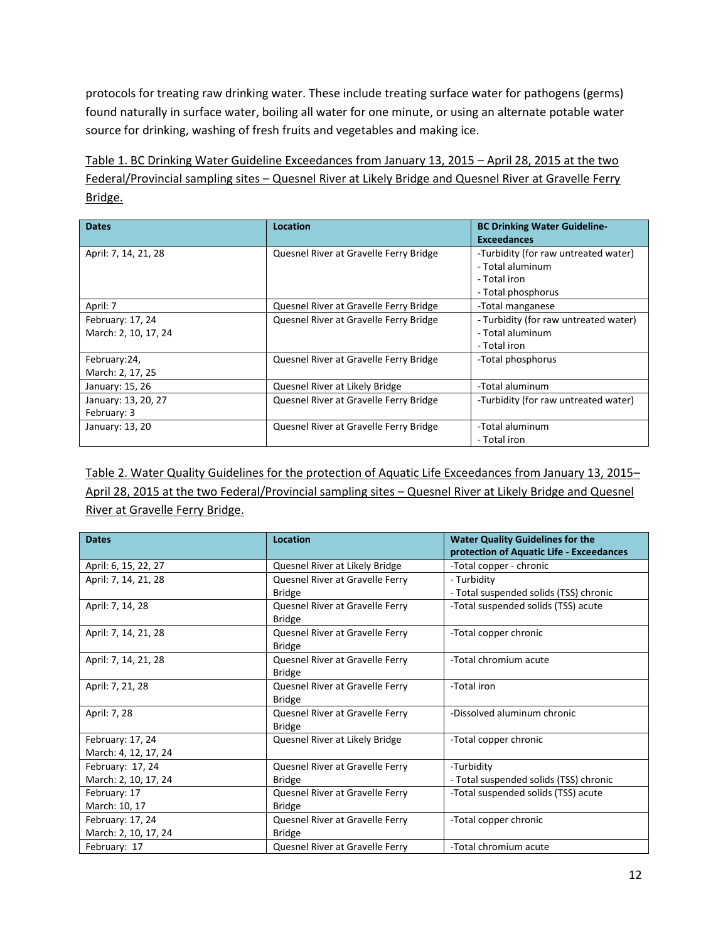protocols for treating raw drinking water. These include treating surface water for pathogens (germs) found naturally in surface water, boiling all water for one minute, or using an alternate potable water source for drinking, washing of fresh fruits and vegetables and making ice.

Table 1. BC Drinking Water Guideline Exceedances from January 13, 2015 – April 28, 2015 at the two Federal/Provincial sampling sites – Quesnel River at Likely Bridge and Quesnel River at Gravelle Ferry Bridge.

| <b>Dates</b>                             | Location                               | <b>BC Drinking Water Guideline-</b><br><b>Exceedances</b>                                      |
|------------------------------------------|----------------------------------------|------------------------------------------------------------------------------------------------|
| April: 7, 14, 21, 28                     | Quesnel River at Gravelle Ferry Bridge | -Turbidity (for raw untreated water)<br>- Total aluminum<br>- Total iron<br>- Total phosphorus |
| April: 7                                 | Quesnel River at Gravelle Ferry Bridge | -Total manganese                                                                               |
| February: 17, 24<br>March: 2, 10, 17, 24 | Quesnel River at Gravelle Ferry Bridge | - Turbidity (for raw untreated water)<br>- Total aluminum<br>- Total iron                      |
| February:24,<br>March: 2, 17, 25         | Quesnel River at Gravelle Ferry Bridge | -Total phosphorus                                                                              |
| January: 15, 26                          | Quesnel River at Likely Bridge         | -Total aluminum                                                                                |
| January: 13, 20, 27<br>February: 3       | Quesnel River at Gravelle Ferry Bridge | -Turbidity (for raw untreated water)                                                           |
| January: 13, 20                          | Quesnel River at Gravelle Ferry Bridge | -Total aluminum<br>- Total iron                                                                |

Table 2. Water Quality Guidelines for the protection of Aquatic Life Exceedances from January 13, 2015– April 28, 2015 at the two Federal/Provincial sampling sites – Quesnel River at Likely Bridge and Quesnel River at Gravelle Ferry Bridge.

| <b>Dates</b>         | <b>Location</b>                 | <b>Water Quality Guidelines for the</b><br>protection of Aquatic Life - Exceedances |
|----------------------|---------------------------------|-------------------------------------------------------------------------------------|
| April: 6, 15, 22, 27 | Quesnel River at Likely Bridge  | -Total copper - chronic                                                             |
| April: 7, 14, 21, 28 | Quesnel River at Gravelle Ferry | - Turbidity                                                                         |
|                      | <b>Bridge</b>                   | - Total suspended solids (TSS) chronic                                              |
| April: 7, 14, 28     | Quesnel River at Gravelle Ferry | -Total suspended solids (TSS) acute                                                 |
|                      | <b>Bridge</b>                   |                                                                                     |
| April: 7, 14, 21, 28 | Quesnel River at Gravelle Ferry | -Total copper chronic                                                               |
|                      | <b>Bridge</b>                   |                                                                                     |
| April: 7, 14, 21, 28 | Quesnel River at Gravelle Ferry | -Total chromium acute                                                               |
|                      | <b>Bridge</b>                   |                                                                                     |
| April: 7, 21, 28     | Quesnel River at Gravelle Ferry | -Total iron                                                                         |
|                      | <b>Bridge</b>                   |                                                                                     |
| April: 7, 28         | Quesnel River at Gravelle Ferry | -Dissolved aluminum chronic                                                         |
|                      | <b>Bridge</b>                   |                                                                                     |
| February: 17, 24     | Quesnel River at Likely Bridge  | -Total copper chronic                                                               |
| March: 4, 12, 17, 24 |                                 |                                                                                     |
| February: 17, 24     | Quesnel River at Gravelle Ferry | -Turbidity                                                                          |
| March: 2, 10, 17, 24 | <b>Bridge</b>                   | - Total suspended solids (TSS) chronic                                              |
| February: 17         | Quesnel River at Gravelle Ferry | -Total suspended solids (TSS) acute                                                 |
| March: 10, 17        | <b>Bridge</b>                   |                                                                                     |
| February: 17, 24     | Quesnel River at Gravelle Ferry | -Total copper chronic                                                               |
| March: 2, 10, 17, 24 | <b>Bridge</b>                   |                                                                                     |
| February: 17         | Quesnel River at Gravelle Ferry | -Total chromium acute                                                               |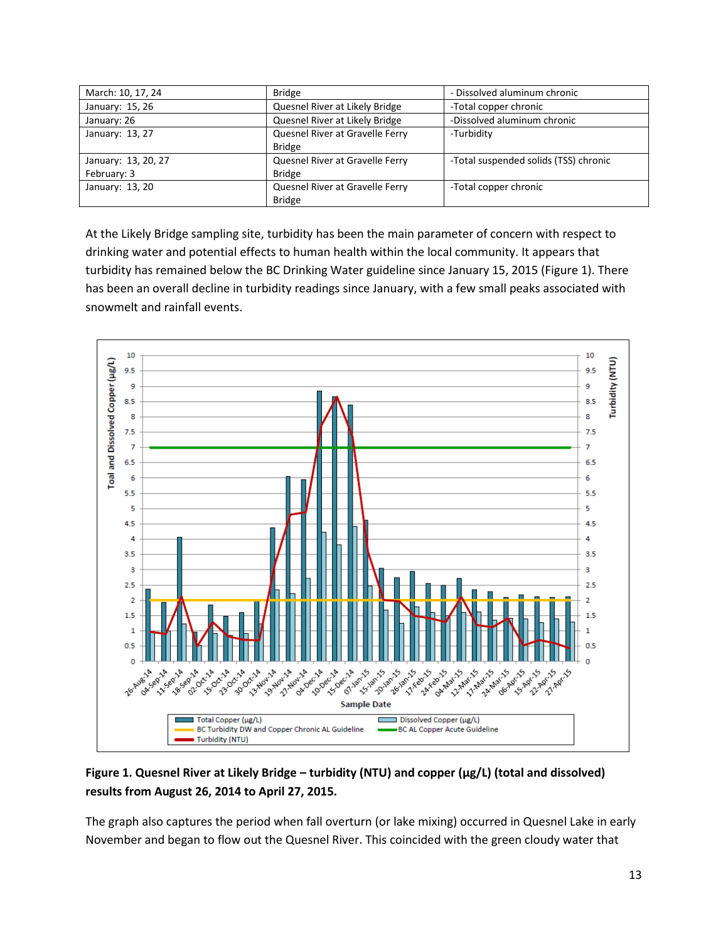| March: 10, 17, 24                  | <b>Bridge</b>                                    | - Dissolved aluminum chronic          |
|------------------------------------|--------------------------------------------------|---------------------------------------|
| January: 15, 26                    | Quesnel River at Likely Bridge                   | -Total copper chronic                 |
| January: 26                        | Quesnel River at Likely Bridge                   | -Dissolved aluminum chronic           |
| January: 13, 27                    | Quesnel River at Gravelle Ferry<br><b>Bridge</b> | -Turbidity                            |
| January: 13, 20, 27<br>February: 3 | Quesnel River at Gravelle Ferry<br><b>Bridge</b> | -Total suspended solids (TSS) chronic |
| January: 13, 20                    | Quesnel River at Gravelle Ferry<br><b>Bridge</b> | -Total copper chronic                 |

At the Likely Bridge sampling site, turbidity has been the main parameter of concern with respect to drinking water and potential effects to human health within the local community. It appears that turbidity has remained below the BC Drinking Water guideline since January 15, 2015 (Figure 1). There has been an overall decline in turbidity readings since January, with a few small peaks associated with snowmelt and rainfall events.



## **Figure 1. Quesnel River at Likely Bridge – turbidity (NTU) and copper (µg/L) (total and dissolved) results from August 26, 2014 to April 27, 2015.**

The graph also captures the period when fall overturn (or lake mixing) occurred in Quesnel Lake in early November and began to flow out the Quesnel River. This coincided with the green cloudy water that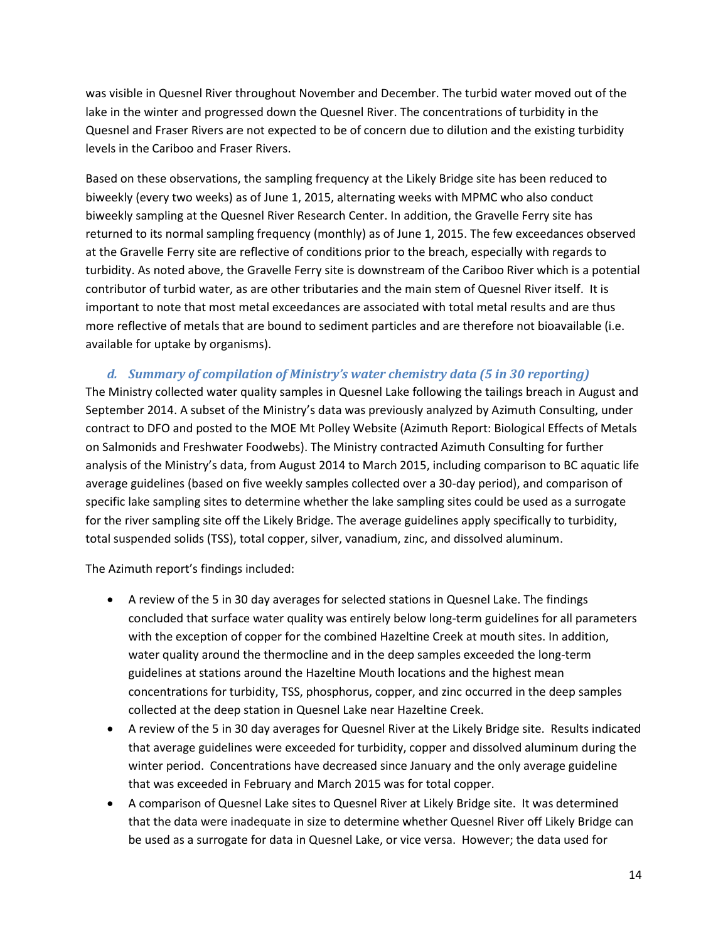was visible in Quesnel River throughout November and December. The turbid water moved out of the lake in the winter and progressed down the Quesnel River. The concentrations of turbidity in the Quesnel and Fraser Rivers are not expected to be of concern due to dilution and the existing turbidity levels in the Cariboo and Fraser Rivers.

Based on these observations, the sampling frequency at the Likely Bridge site has been reduced to biweekly (every two weeks) as of June 1, 2015, alternating weeks with MPMC who also conduct biweekly sampling at the Quesnel River Research Center. In addition, the Gravelle Ferry site has returned to its normal sampling frequency (monthly) as of June 1, 2015. The few exceedances observed at the Gravelle Ferry site are reflective of conditions prior to the breach, especially with regards to turbidity. As noted above, the Gravelle Ferry site is downstream of the Cariboo River which is a potential contributor of turbid water, as are other tributaries and the main stem of Quesnel River itself. It is important to note that most metal exceedances are associated with total metal results and are thus more reflective of metals that are bound to sediment particles and are therefore not bioavailable (i.e. available for uptake by organisms).

#### *d. Summary of compilation of Ministry's water chemistry data (5 in 30 reporting)*

The Ministry collected water quality samples in Quesnel Lake following the tailings breach in August and September 2014. A subset of the Ministry's data was previously analyzed by Azimuth Consulting, under contract to DFO and posted to the MOE Mt Polley Website (Azimuth Report: Biological Effects of Metals on Salmonids and Freshwater Foodwebs). The Ministry contracted Azimuth Consulting for further analysis of the Ministry's data, from August 2014 to March 2015, including comparison to BC aquatic life average guidelines (based on five weekly samples collected over a 30-day period), and comparison of specific lake sampling sites to determine whether the lake sampling sites could be used as a surrogate for the river sampling site off the Likely Bridge. The average guidelines apply specifically to turbidity, total suspended solids (TSS), total copper, silver, vanadium, zinc, and dissolved aluminum.

The Azimuth report's findings included:

- A review of the 5 in 30 day averages for selected stations in Quesnel Lake. The findings concluded that surface water quality was entirely below long-term guidelines for all parameters with the exception of copper for the combined Hazeltine Creek at mouth sites. In addition, water quality around the thermocline and in the deep samples exceeded the long-term guidelines at stations around the Hazeltine Mouth locations and the highest mean concentrations for turbidity, TSS, phosphorus, copper, and zinc occurred in the deep samples collected at the deep station in Quesnel Lake near Hazeltine Creek.
- A review of the 5 in 30 day averages for Quesnel River at the Likely Bridge site. Results indicated that average guidelines were exceeded for turbidity, copper and dissolved aluminum during the winter period. Concentrations have decreased since January and the only average guideline that was exceeded in February and March 2015 was for total copper.
- A comparison of Quesnel Lake sites to Quesnel River at Likely Bridge site. It was determined that the data were inadequate in size to determine whether Quesnel River off Likely Bridge can be used as a surrogate for data in Quesnel Lake, or vice versa. However; the data used for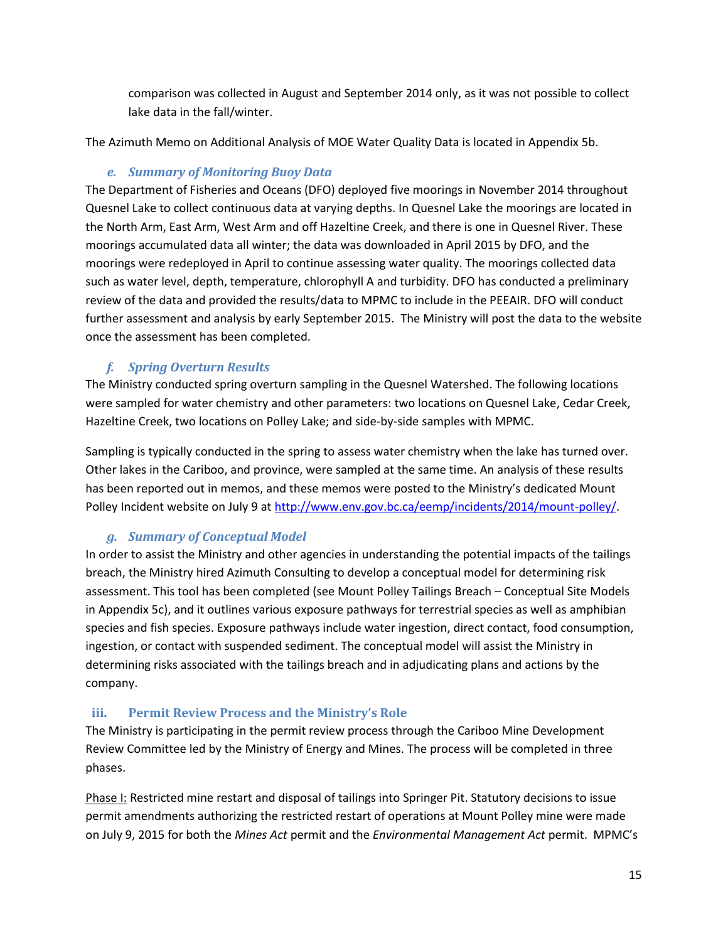comparison was collected in August and September 2014 only, as it was not possible to collect lake data in the fall/winter.

The Azimuth Memo on Additional Analysis of MOE Water Quality Data is located in Appendix 5b.

# *e. Summary of Monitoring Buoy Data*

The Department of Fisheries and Oceans (DFO) deployed five moorings in November 2014 throughout Quesnel Lake to collect continuous data at varying depths. In Quesnel Lake the moorings are located in the North Arm, East Arm, West Arm and off Hazeltine Creek, and there is one in Quesnel River. These moorings accumulated data all winter; the data was downloaded in April 2015 by DFO, and the moorings were redeployed in April to continue assessing water quality. The moorings collected data such as water level, depth, temperature, chlorophyll A and turbidity. DFO has conducted a preliminary review of the data and provided the results/data to MPMC to include in the PEEAIR. DFO will conduct further assessment and analysis by early September 2015. The Ministry will post the data to the website once the assessment has been completed.

# *f. Spring Overturn Results*

The Ministry conducted spring overturn sampling in the Quesnel Watershed. The following locations were sampled for water chemistry and other parameters: two locations on Quesnel Lake, Cedar Creek, Hazeltine Creek, two locations on Polley Lake; and side-by-side samples with MPMC.

Sampling is typically conducted in the spring to assess water chemistry when the lake has turned over. Other lakes in the Cariboo, and province, were sampled at the same time. An analysis of these results has been reported out in memos, and these memos were posted to the Ministry's dedicated Mount Polley Incident website on July 9 at [http://www.env.gov.bc.ca/eemp/incidents/2014/mount-polley/.](http://www.env.gov.bc.ca/eemp/incidents/2014/mount-polley/)

# *g. Summary of Conceptual Model*

In order to assist the Ministry and other agencies in understanding the potential impacts of the tailings breach, the Ministry hired Azimuth Consulting to develop a conceptual model for determining risk assessment. This tool has been completed (see Mount Polley Tailings Breach – Conceptual Site Models in Appendix 5c), and it outlines various exposure pathways for terrestrial species as well as amphibian species and fish species. Exposure pathways include water ingestion, direct contact, food consumption, ingestion, or contact with suspended sediment. The conceptual model will assist the Ministry in determining risks associated with the tailings breach and in adjudicating plans and actions by the company.

## **iii. Permit Review Process and the Ministry's Role**

The Ministry is participating in the permit review process through the Cariboo Mine Development Review Committee led by the Ministry of Energy and Mines. The process will be completed in three phases.

Phase I: Restricted mine restart and disposal of tailings into Springer Pit. Statutory decisions to issue permit amendments authorizing the restricted restart of operations at Mount Polley mine were made on July 9, 2015 for both the *Mines Act* permit and the *Environmental Management Act* permit. MPMC's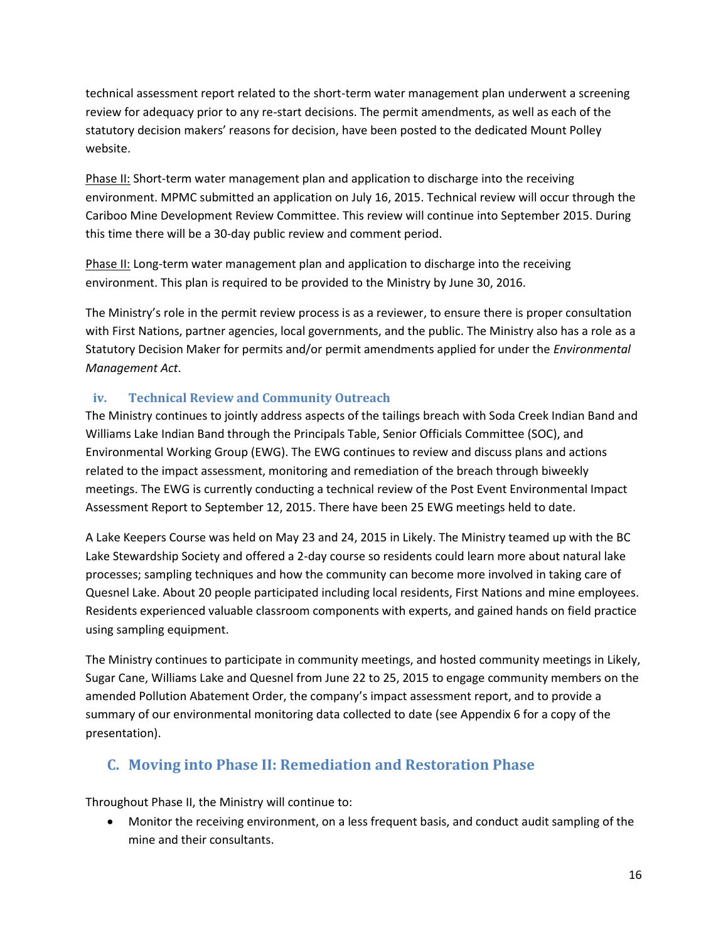technical assessment report related to the short-term water management plan underwent a screening review for adequacy prior to any re-start decisions. The permit amendments, as well as each of the statutory decision makers' reasons for decision, have been posted to the dedicated Mount Polley website.

Phase II: Short-term water management plan and application to discharge into the receiving environment. MPMC submitted an application on July 16, 2015. Technical review will occur through the Cariboo Mine Development Review Committee. This review will continue into September 2015. During this time there will be a 30-day public review and comment period.

Phase II: Long-term water management plan and application to discharge into the receiving environment. This plan is required to be provided to the Ministry by June 30, 2016.

The Ministry's role in the permit review process is as a reviewer, to ensure there is proper consultation with First Nations, partner agencies, local governments, and the public. The Ministry also has a role as a Statutory Decision Maker for permits and/or permit amendments applied for under the *Environmental Management Act*.

# **iv. Technical Review and Community Outreach**

The Ministry continues to jointly address aspects of the tailings breach with Soda Creek Indian Band and Williams Lake Indian Band through the Principals Table, Senior Officials Committee (SOC), and Environmental Working Group (EWG). The EWG continues to review and discuss plans and actions related to the impact assessment, monitoring and remediation of the breach through biweekly meetings. The EWG is currently conducting a technical review of the Post Event Environmental Impact Assessment Report to September 12, 2015. There have been 25 EWG meetings held to date.

A Lake Keepers Course was held on May 23 and 24, 2015 in Likely. The Ministry teamed up with the BC Lake Stewardship Society and offered a 2-day course so residents could learn more about natural lake processes; sampling techniques and how the community can become more involved in taking care of Quesnel Lake. About 20 people participated including local residents, First Nations and mine employees. Residents experienced valuable classroom components with experts, and gained hands on field practice using sampling equipment.

The Ministry continues to participate in community meetings, and hosted community meetings in Likely, Sugar Cane, Williams Lake and Quesnel from June 22 to 25, 2015 to engage community members on the amended Pollution Abatement Order, the company's impact assessment report, and to provide a summary of our environmental monitoring data collected to date (see Appendix 6 for a copy of the presentation).

# **C. Moving into Phase II: Remediation and Restoration Phase**

Throughout Phase II, the Ministry will continue to:

 Monitor the receiving environment, on a less frequent basis, and conduct audit sampling of the mine and their consultants.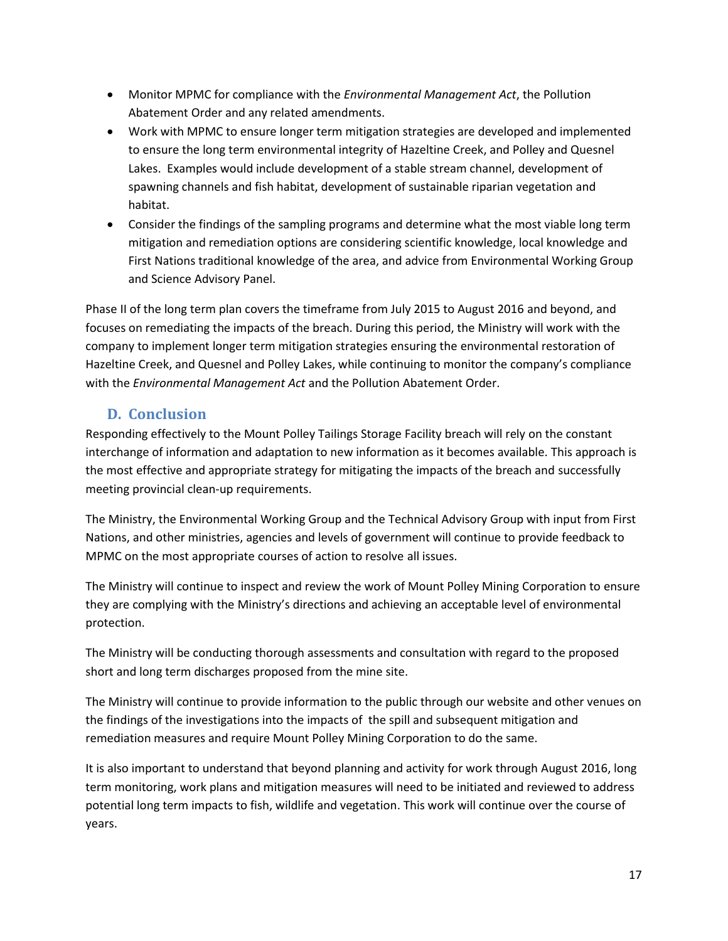- Monitor MPMC for compliance with the *Environmental Management Act*, the Pollution Abatement Order and any related amendments.
- Work with MPMC to ensure longer term mitigation strategies are developed and implemented to ensure the long term environmental integrity of Hazeltine Creek, and Polley and Quesnel Lakes. Examples would include development of a stable stream channel, development of spawning channels and fish habitat, development of sustainable riparian vegetation and habitat.
- Consider the findings of the sampling programs and determine what the most viable long term mitigation and remediation options are considering scientific knowledge, local knowledge and First Nations traditional knowledge of the area, and advice from Environmental Working Group and Science Advisory Panel.

Phase II of the long term plan covers the timeframe from July 2015 to August 2016 and beyond, and focuses on remediating the impacts of the breach. During this period, the Ministry will work with the company to implement longer term mitigation strategies ensuring the environmental restoration of Hazeltine Creek, and Quesnel and Polley Lakes, while continuing to monitor the company's compliance with the *Environmental Management Act* and the Pollution Abatement Order.

# **D. Conclusion**

Responding effectively to the Mount Polley Tailings Storage Facility breach will rely on the constant interchange of information and adaptation to new information as it becomes available. This approach is the most effective and appropriate strategy for mitigating the impacts of the breach and successfully meeting provincial clean-up requirements.

The Ministry, the Environmental Working Group and the Technical Advisory Group with input from First Nations, and other ministries, agencies and levels of government will continue to provide feedback to MPMC on the most appropriate courses of action to resolve all issues.

The Ministry will continue to inspect and review the work of Mount Polley Mining Corporation to ensure they are complying with the Ministry's directions and achieving an acceptable level of environmental protection.

The Ministry will be conducting thorough assessments and consultation with regard to the proposed short and long term discharges proposed from the mine site.

The Ministry will continue to provide information to the public through our website and other venues on the findings of the investigations into the impacts of the spill and subsequent mitigation and remediation measures and require Mount Polley Mining Corporation to do the same.

It is also important to understand that beyond planning and activity for work through August 2016, long term monitoring, work plans and mitigation measures will need to be initiated and reviewed to address potential long term impacts to fish, wildlife and vegetation. This work will continue over the course of years.